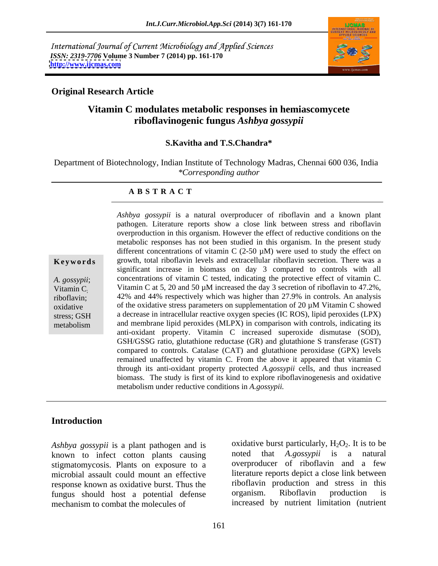International Journal of Current Microbiology and Applied Sciences *ISSN: 2319-7706* **Volume 3 Number 7 (2014) pp. 161-170 <http://www.ijcmas.com>**



## **Original Research Article**

# **Vitamin C modulates metabolic responses in hemiascomycete riboflavinogenic fungus** *Ashbya gossypii*

### **S.Kavitha and T.S.Chandra\***

Department of Biotechnology, Indian Institute of Technology Madras, Chennai 600 036, India *\*Corresponding author* 

### **A B S T R A C T**

**Keywords** growth, total riboflavin levels and extracellular riboflavin secretion. There was a *A. gossypii*; concentrations of vitamin C tested, indicating the protective effect of vitamin C. Vitamin C; Vitamin C at 5, 20 and 50  $\mu$ M increased the day 3 secretion of riboflavin to 47.2%, riboflavin; 42% and 44% respectively which was higher than 27.9% in controls. An analysis oxidative of the oxidative stress parameters on supplementation of 20  $\mu$ M Vitamin C showed stress; GSH a decrease in intracellular reactive oxygen species (IC ROS), lipid peroxides (LPX) metabolism and membrane lipid peroxides (MLPX) in comparison with controls, indicating its *Ashbya gossypii* is a natural overproducerof riboflavin and a known plant pathogen. Literature reports show a close link between stress and riboflavin overproduction in this organism. However the effect of reductive conditions on the metabolic responses has not been studied in this organism. In the present study different concentrations of vitamin C  $(2-50 \mu M)$  were used to study the effect on significant increase in biomass on day 3 compared to controls with all anti-oxidant property. Vitamin C increased superoxide dismutase (SOD), GSH/GSSG ratio, glutathione reductase (GR) and glutathione S transferase (GST) compared to controls. Catalase (CAT) and glutathione peroxidase (GPX) levels remained unaffected by vitamin C. From the above it appeared that vitamin C through its anti-oxidant property protected *A.gossypii* cells, and thus increased biomass. The study is first of its kind to explore riboflavinogenesis and oxidative metabolism under reductive conditions in *A.gossypii.*

## **Introduction**

known to infect cotton plants causing stigmatomycosis. Plants on exposure to a microbial assault could mount an effective response known as oxidative burst. Thus the riboflavin production and stress in<br>fungus should host a potential defense organism. Riboflavin production fungus should host a potential defense organism. Riboflavin production is mechanism to combat the molecules of increased by nutrient limitation (nutrient

*Ashbya gossypii* is a plant pathogen and is a coxidative burst particularly,  $H_2O_2$ . It is to be known to infect cotton plants causing a noted that *A.gossypii* is a natural oxidative burst particularly,  $H_2O_2$ . It is to be noted that *A.gossypii* is a natural overproducer of riboflavin and a few literature reports depict a close link between riboflavin production and stress in this organism. Riboflavin production is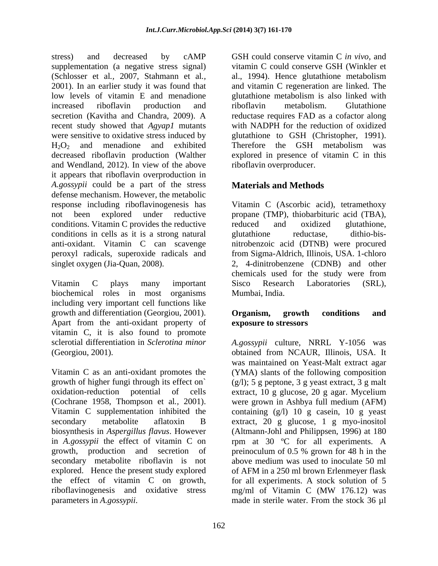stress) and decreased by cAMP GSH could conserve vitamin C in vivo, and supplementation (a negative stress signal) (Schlosser et al*.,* 2007, Stahmann et al*.,* al., 1994). Hence glutathione metabolism 2001). In an earlier study it was found that and vitamin C regeneration are linked. The low levels of vitamin E and menadione subsetiate electronic metabolism is also linked with increased riboflavin production and riboflavin metabolism. Glutathione secretion (Kavitha and Chandra, 2009). A recent study showed that *Agyap1* mutants with NADPH for the reduction of oxidized were sensitive to oxidative stress induced by glutathione to GSH (Christopher, 1991).  $H_2O_2$  and menadione and exhibited Therefore the GSH metabolism was decreased riboflavin production (Walther and Wendland, 2012). In view of the above it appears that riboflavin overproduction in *A.gossypii* could be a part of the stress defense mechanism. However, the metabolic response including riboflavinogenesis has Vitamin C (Ascorbic acid), tetramethoxy not been explored under reductive propane (TMP), thiobarbituric acid (TBA), conditions. Vitamin C provides the reductive reduced and oxidized glutathione, conditions in cells as it is a strong natural anti-oxidant. Vitamin C can scavenge nitrobenzoic acid (DTNB) were procured peroxyl radicals, superoxide radicals and from Sigma-Aldrich, Illinois, USA. 1-chloro singlet oxygen (Jia-Quan, 2008). 2, 4-dinitrobenzene (CDNB) and other ers and decreased by the conserve vitamin C *in*  $y$  conserve vitamin C *in*  $y$  conserve CSH Conserve CSH Conserve CSH Conserve CSH Conserve CSH Conserver at  $y$  and  $y$  spanned and  $y$  in  $y$  is  $y$  incredient and  $y$  in

Vitamin C plays many important Sisco Research Laboratories (SRL), biochemical roles in most organisms including very important cell functions like growth and differentiation (Georgiou, 2001). **Organism, growth conditions and** Apart from the anti-oxidant property of vitamin C, it is also found to promote

Vitamin C as an anti-oxidant promotes the (YMA) slants of the following composition growth of higher fungi through its effect on  $(g/l)$ ; 5 g peptone, 3 g yeast extract, 3 g malt oxidation-reduction potential of cells extract, 10 g glucose, 20 g agar. Mycelium (Cochrane 1958, Thompson et al*.,* 2001). were grown in Ashbya full medium (AFM) Vitamin C supplementation inhibited the containing (g/l) 10 g casein, 10 g yeast secondary metabolite aflatoxin B extract, 20 g glucose, 1 g myo-inositol biosynthesis in *Aspergillus flavus*. However (Altmann-Johl and Philippsen, 1996) at 180 in *A.gossypii* the effect of vitamin C on rpm at 30 ºC for all experiments. A growth, production and secretion of preinoculum of 0.5 % grown for 48 h in the secondary metabolite riboflavin is not above medium was used to inoculate 50 ml explored. Hence the present study explored the effect of vitamin C on growth, for all experiments. A stock solution of 5 riboflavinogenesis and oxidative stress mg/ml of Vitamin C (MW 176.12) was

vitamin C could conserve GSH (Winkler et glutathione metabolism is also linked with riboflavin metabolism. Glutathione reductase requires FAD as a cofactor along explored in presence of vitamin C in this riboflavin overproducer.

# **Materials and Methods**

reduced and oxidized glutathione, glutathione reductase, dithio-bis chemicals used for the study were from Sisco Research Laboratories (SRL), Mumbai, India.

## **Organism, growth conditions and exposure to stressors**

sclerotial differentiation in *Sclerotina minor A.gossypii* culture, NRRL Y-1056 was (Georgiou, 2001). obtained from NCAUR, Illinois, USA. It was maintained on Yeast-Malt extract agar of AFM in a 250 ml brown Erlenmeyer flask mg/ml of Vitamin C (MW 176.12) was made in sterile water. From the stock 36 µl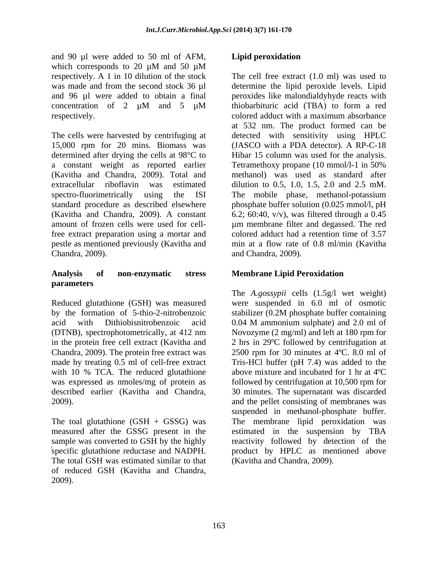and 90 µl were added to 50 ml of AFM, Lipid peroxidation which corresponds to 20  $\mu$ M and 50  $\mu$ M respectively. The colored adduct with a maximum absorbance

The cells were harvested by centrifuging at detected with sensitivity using HPLC 15,000 rpm for 20 mins. Biomass was determined after drying the cells at 98°C to a constant weight as reported earlier Tetramethoxy propane (10 mmol/l-1 in 50%) (Kavitha and Chandra, 2009). Total and extracellular riboflavin was estimated dilution to 0.5, 1.0, 1.5, 2.0 and 2.5 mM. spectro-fluorimetrically using the ISI The mobile phase, methanol-potassium standard procedure as described elsewhere phosphate buffer solution (0.025 mmol/l, pH (Kavitha and Chandra, 2009). A constant 6.2; 60:40, v/v), was filtered through a 0.45 amount of frozen cells were used for cell-µm membrane filter and degassed. The red free extract preparation using a mortar and colored adduct had a retention time of 3.57 pestle as mentioned previously (Kavitha and Chandra, 2009). and Chandra, 2009).

## **Analysis of non-enzymatic stress Membrane Lipid Peroxidation parameters**

by the formation of 5-thio-2-nitrobenzoic stabilizer (0.2M phosphate buffer containing acid with Dithiobisnitrobenzoic acid 0.04 M ammonium sulphate) and 2.0 ml of with 10 % TCA. The reduced glutathione

The total GSH was estimated similar to that of reduced GSH (Kavitha and Chandra, 2009).

# **Lipid peroxidation**

respectively. A 1 in 10 dilution of the stock The cell free extract (1.0 ml) was used to was made and from the second stock 36 µl determine the lipid peroxide levels. Lipid and 96 µl were added to obtain a final peroxides like malondialdyhyde reacts with concentration of 2  $\mu$ M and 5  $\mu$ M thiobarbituric acid (TBA) to form a red thiobarbituric acid (TBA) to form a red colored adduct with a maximum absorbance at 532 nm. The product formed can be (JASCO with a PDA detector). A RP-C-18 Hibar 15 column was used for the analysis. Tetramethoxy propane (10 mmol/l-1 in 50% methanol) was used as standard after min at a flow rate of 0.8 ml/min (Kavitha

Reduced glutathione (GSH) was measured were suspended in 6.0 ml of osmotic (DTNB), spectrophotometrically, at 412 nm Novozyme (2 mg/ml) and left at 180 rpm for in the protein free cell extract (Kavitha and 2 hrs in 29ºC followed by centrifugation at Chandra, 2009). The protein free extract was 2500 rpm for 30 minutes at 4ºC. 8.0 ml of made by treating 0.5 ml of cell-free extract Tris-HCl buffer (pH 7.4) was added to the was expressed as nmoles/mg of protein as followed by centrifugation at 10,500 rpm for described earlier (Kavitha and Chandra, 30 minutes. The supernatant was discarded 2009). and the pellet consisting of membranes was The toal glutathione (GSH + GSSG) was The membrane lipid peroxidation was measured after the GSSG present in the estimated in the suspension by TBA sample was converted to GSH by the highly reactivity followed by detection of the specific glutathione reductase and NADPH. product by HPLC as mentioned above The *A.gossypii* cells (1.5g/l wet weight) stabilizer (0.2M phosphate buffer containing 0.04 M ammonium sulphate) and 2.0 ml of above mixture and incubated for 1 hr at 4ºC suspended in methanol-phosphate buffer. (Kavitha and Chandra, 2009).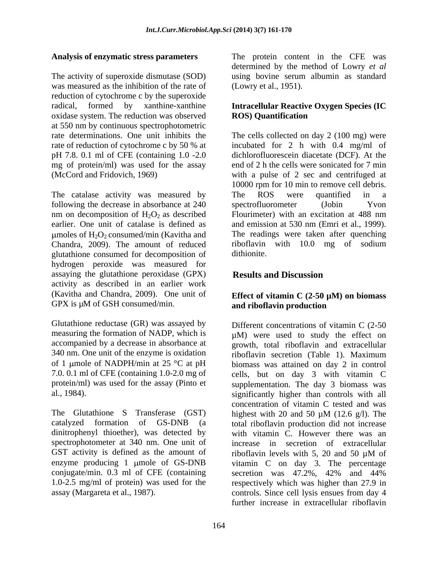The activity of superoxide dismutase (SOD) using bovine serum albumin as standard was measured as the inhibition of the rate of reduction of cytochrome c by the superoxide radical, formed by xanthine-xanthine **Intracellular Reactive Oxygen Species (IC**  oxidase system. The reduction was observed **ROS Quantification** at 550 nm by continuous spectrophotometric pH 7.8. 0.1 ml of CFE (containing 1.0 -2.0 mg of protein/ml) was used for the assay

The catalase activity was measured by The ROS were quantified in a following the decrease in absorbance at 240 spectrofluorometer (Jobin Yvon nm on decomposition of  $H_2O_2$  as described<br>earlier buth an excitation at 488 nm<br>earlier. One unit of catalase is defined as and emission at 530 nm (Emri et al., 1999). earlier. One unit of catalase is defined as and emission at 530 nm (Emri et al., 1999). umoles of  $H_2O_2$  consumed/min (Kavitha and Chandra, 2009). The amount of reduced Chandra, 2009). The amount of reduced riboflavin with 10.0 mg of sodium glutathione consumed for decomposition of hydrogen peroxide was measured for assaying the glutathione peroxidase (GPX) activity as described in an earlier work (Kavitha and Chandra, 2009). One unit of GPX is  $\mu$ M of GSH consumed/min. and riboflavin production

Glutathione reductase (GR) was assayed by 340 nm. One unit of the enzyme is oxidation

The Glutathione S Transferase (GST) highest with 20 and 50  $\mu$ M (12.6 g/l). The dinitrophenyl thioether), was detected by spectrophotometer at 340 nm. One unit of GST activity is defined as the amount of riboflavin levels with 5, 20 and 50  $\mu$ M of enzyme producing 1 µmole of GS-DNB conjugate/min. 0.3 ml of CFE (containing

**Analysis of enzymatic stress parameters** The protein content in the CFE was determined by the method of Lowry *et al* (Lowry et al., 1951).

# **ROS) Quantification**

rate determinations. One unit inhibits the The cells collected on day 2 (100 mg) were rate of reduction of cytochrome c by 50 % at incubated for 2 h with 0.4 mg/ml of (McCord and Fridovich, 1969) with a pulse of 2 sec and centrifuged at dichlorofluorescein diacetate (DCF). At the end of 2 h the cells were sonicated for 7 min 10000 rpm for 10 min to remove cell debris. The ROS were quantified in a spectrofluorometer (Jobin Yvon Flourimeter) with an excitation at 488 nm The readings were taken after quenching dithionite.

# **Results and Discussion**

## **Effect of vitamin C (2-50 µM) on biomass and riboflavin production**

measuring the formation of NADP, which is  $\mu$ M) were used to study the effect on accompanied by a decrease in absorbance at growth, total riboflavin and extracellular of 1 µmole of NADPH/min at 25  $\degree$ C at pH biomass was attained on day 2 in control 7.0. 0.1 ml of CFE (containing 1.0-2.0 mg of cells, but on day 3 with vitamin C protein/ml) was used for the assay (Pinto et supplementation. The day 3 biomass was al., 1984). significantly higher than controls with all catalyzed formation of GS-DNB (a total riboflavin production did not increase 1.0-2.5 mg/ml of protein) was used for the respectively which was higher than 27.9 in assay (Margareta et al., 1987). controls. Since cell lysis ensues from day 4 Different concentrations of vitamin C (2-50 riboflavin secretion (Table 1). Maximum concentration of vitamin C tested and was highest with 20 and 50  $\mu$ M (12.6 g/l). The with vitamin C. However there was an increase in secretion of extracellular riboflavin levels with 5, 20 and 50  $\mu$ M of vitamin C on day 3. The percentage secretion was 47.2%, 42% and 44% further increase in extracellular riboflavin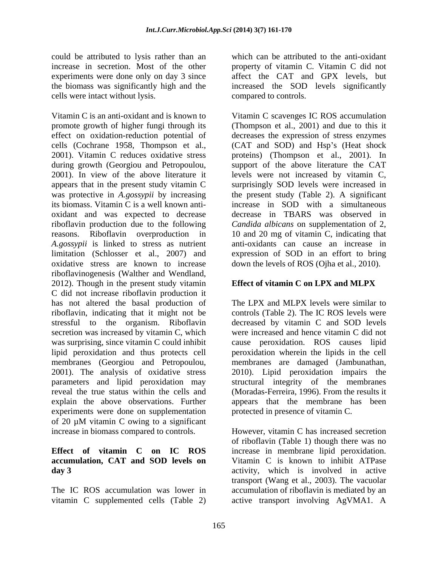could be attributed to lysis rather than an cells were intact without lysis.

Vitamin C is an anti-oxidant and is known to Vitamin C scavenges IC ROS accumulation promote growth of higher fungi through its (Thompson et al., 2001) and due to this it effect on oxidation-reduction potential of decreases the expression of stress enzymes cells (Cochrane 1958, Thompson et al., (CAT and SOD) and Hsp's (Heat shock 2001). Vitamin C reduces oxidative stress proteins) (Thompson et al., 2001). In during growth (Georgiou and Petropoulou, support of the above literature the CAT 2001). In view of the above literature it levels were not increased by vitamin C, appears that in the present study vitamin C surprisingly SOD levels were increased in was protective in *A.gossypii* by increasing its biomass. Vitamin C is a well known anti- increase in SOD with a simultaneous oxidant and was expected to decrease decrease in TBARS was observed in riboflavin production due to the following *Candida albicans* on supplementation of 2, reasons. Riboflavin overproduction in 10 and 20 mg of vitamin C, indicating that *A.gossypii* is linked to stress as nutrient limitation (Schlosser et al., 2007) and expression of SOD in an effort to bring oxidative stress are known to increase riboflavinogenesis (Walther and Wendland, 2012). Though in the present study vitamin  $\blacksquare$  Effect of vitamin  $\complement$  on LPX and MLPX C did not increase riboflavin production it has not altered the basal production of riboflavin, indicating that it might not be controls (Table 2). The IC ROS levels were stressful to the organism. Riboflavin decreased by vitamin C and SOD levels secretion was increased by vitamin C, which was surprising, since vitamin C could inhibit cause peroxidation. ROS causes lipid lipid peroxidation and thus protects cell peroxidation wherein the lipids in the cell membranes (Georgiou and Petropoulou, membranes are damaged (Jambunathan, 2001). The analysis of oxidative stress 2010). Lipid peroxidation impairs the parameters and lipid peroxidation may structural integrity of the membranes reveal the true status within the cells and (Moradas-Ferreira, 1996). From the results it explain the above observations. Further appears that the membrane has been experiments were done on supplementation of 20 µM vitamin C owing to a significant increase in biomass compared to controls. However, vitamin C has increased secretion

vitamin C supplemented cells (Table 2)

increase in secretion. Most of the other property of vitamin C. Vitamin C did not experiments were done only on day 3 since affect the CAT and GPX levels, but the biomass was significantly high and the increased the SOD levels significantly which can be attributed to the anti-oxidant compared to controls.

> the present study (Table 2). A significant anti-oxidants can cause an increase in down the levels of ROS (Ojha et al.*,* 2010).

# **Effect of vitamin C on LPX and MLPX**

The LPX and MLPX levels were similar to were increased and hence vitamin C did not protected in presence of vitamin C.

**Effect of vitamin C on IC ROS** increase in membrane lipid peroxidation. **accumulation, CAT and SOD levels on** Vitamin C is known to inhibit ATPase **day 3**  activity, which is involved in active The IC ROS accumulation was lower in accumulation of riboflavin is mediated by an of riboflavin (Table 1) though there was no transport (Wang et al., 2003). The vacuolar active transport involving AgVMA1. A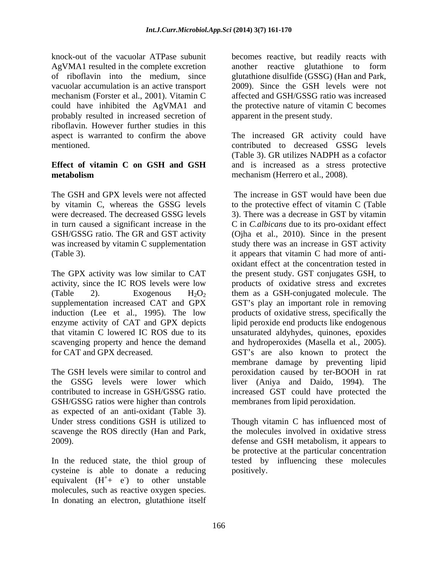knock-out of the vacuolar ATPase subunit becomes reactive, but readily reacts with vacuolar accumulation is an active transport mechanism (Forster et al., 2001). Vitamin C affected and GSH/GSSG ratio was increased probably resulted in increased secretion of riboflavin. However further studies in this aspect is warranted to confirm the above The increased GR activity could have

The GSH and GPX levels were not affected

induction (Lee et al., 1995). The low

GSH/GSSG ratios were higher than controls as expected of an anti-oxidant (Table 3).

In the reduced state, the thiol group of cysteine is able to donate a reducing equivalent  $(H^+ + e^-)$  to other unstable + e<sup>-</sup>) to other unstable ) to other unstable molecules, such as reactive oxygen species. In donating an electron, glutathione itself

AgVMA1 resulted in the complete excretion another reactive glutathione to form of riboflavin into the medium, since glutathione disulfide (GSSG) (Han and Park, could have inhibited the AgVMA1 and the protective nature of vitamin C becomes 2009). Since the GSH levels were not affected and GSH/GSSG ratio was increased apparent in the present study.

mentioned. contributed to decreased GSSG levels **Effect of vitamin C on GSH and GSH** and is increased as a stress protective **metabolism** mechanism (Herrero et al., 2008). (Table 3). GR utilizes NADPH as a cofactor mechanism (Herrero et al., 2008).

by vitamin C, whereas the GSSG levels to the protective effect of vitamin C (Table were decreased. The decreased GSSG levels 3). There was a decrease in GST by vitamin in turn caused a significant increase in the C in *C.albicans* due to its pro-oxidant effect GSH/GSSG ratio. The GR and GST activity (Ojha et al., 2010). Since in the present was increased by vitamin C supplementation study there was an increase in GST activity (Table 3). it appears that vitamin C had more of anti- The GPX activity was low similar to CAT the present study. GST conjugates GSH, to activity, since the IC ROS levels were low products of oxidative stress and excretes (Table 2). Exogenous  $H_2O_2$  them as a GSH-conjugated molecule. The supplementation increased CAT and GPX GST's play an important role in removing enzyme activity of CAT and GPX depicts lipid peroxide end products like endogenous that vitamin C lowered IC ROS due to its unsaturated aldyhydes, quinones, epoxides scavenging property and hence the demand and hydroperoxides (Masella et al*.,* 2005). for CAT and GPX decreased. GST's are also known to protect the The GSH levels were similar to control and peroxidation caused by ter-BOOH in rat the GSSG levels were lower which liver (Aniya and Daido, 1994). The contributed to increase in GSH/GSSG ratio. increased GST could have protected the The increase in GST would have been due oxidant effect at the concentration tested in products of oxidative stress, specifically the membrane damage by preventing lipid membranes from lipid peroxidation.

Under stress conditions GSH is utilized to Though vitamin C has influenced most of scavenge the ROS directly (Han and Park, the molecules involved in oxidative stress 2009). defense and GSH metabolism, it appears to be protective at the particular concentration tested by influencing these molecules positively.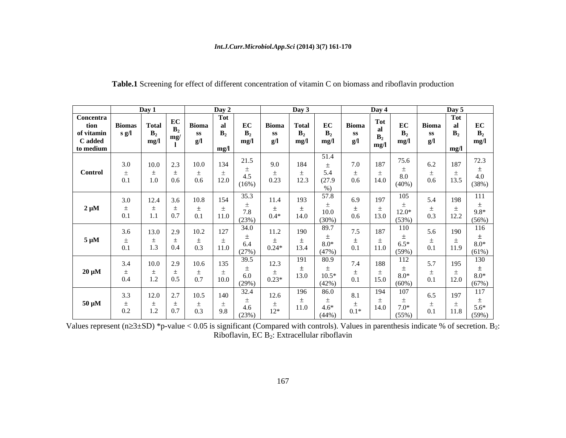### *Int.J.Curr.Microbiol.App.Sci* **(2014) 3(7) 161-170**

|                               | Day |                               |                  | Day 2                        |         | Day 3                            |                 | Day 4                        |         |                                     |
|-------------------------------|-----|-------------------------------|------------------|------------------------------|---------|----------------------------------|-----------------|------------------------------|---------|-------------------------------------|
| Concentra                     |     |                               |                  | <b>Tot</b>                   |         |                                  |                 |                              |         | $\frac{\text{Day } 5}{\text{Tot }}$ |
| tion<br>of vitamin<br>C added |     | [`otal                        | Bioma            | EC                           | Bioma   | EC<br><b>Total</b>               | Bioma           | EC                           | Bioma   | EC<br>al                            |
|                               |     | mg/                           | SS               |                              |         |                                  |                 | B <sub>2</sub>               |         |                                     |
|                               |     | mg/l                          | g/I              | mg/l                         | g/I     | mg/l<br>mg/l                     | g/l             | mg/l<br>mg/                  |         | mg/l                                |
| to medium                     |     |                               |                  | mg/                          |         |                                  |                 |                              |         |                                     |
|                               | 3.0 | $10.0$ 2.3 10.0               |                  | 21.5<br>134                  | 9.0     | 51.4<br>184                      | 7.0             | 75.6<br>187                  | 6.2     | 12.5<br>187                         |
| Control                       |     |                               |                  |                              |         |                                  |                 |                              |         |                                     |
|                               | 0.1 | 1.0<br>0.6                    | $0.6\,$          | $\frac{4.5}{(16\%)}$<br>12.0 | 0.23    | $5.4$<br>(27.9)<br>12.3          | 0.6             | $\frac{8.0}{(40\%)}$<br>14.0 | $0.6\,$ | 土<br>4.0<br>13.5                    |
|                               |     |                               |                  |                              |         | $\%$ )                           |                 |                              |         | (38%)                               |
|                               |     |                               |                  |                              |         | 57.8                             |                 | 105                          |         |                                     |
|                               | 3.0 | 12.4<br>3.6                   | 10.8             | 35.3<br>154                  | 11.4    | 193                              | 6.9             | 197                          |         | 198                                 |
| $2 \mu M$                     |     |                               |                  | 7.8                          |         |                                  |                 |                              |         | $9.8*$                              |
|                               | 0.1 | 0.7                           | 0.1              | 11.0<br>(23%)                | $0.4*$  | $\frac{10.0}{(30\%)}$<br>14.0    | 0.6             | $12.0*$<br>(53%)<br>13.0     |         | 12.2<br>$(56\%)$                    |
|                               |     |                               |                  | 34.0                         |         | 89.7                             |                 | 110                          |         | 116                                 |
|                               | 3.6 | $13.0$ 2.9 10.2               |                  | 127                          | 11.2    | 190                              | 7.5             | 187                          | 5.6     | 190                                 |
| $5 \mu M$                     |     | $\overline{1.3}$              |                  | 6.4                          |         |                                  | $\frac{1}{0.1}$ | $6.5*$                       |         | $8.0*$                              |
|                               | 0.1 | 0.4                           | $\overline{0.3}$ | 11.0<br>(27%)                | $0.24*$ | $8.0*$<br>(47%)<br>13.4          |                 | 11.0<br>(59%)                |         | 11.9                                |
|                               |     |                               | 10.6             | 39.5                         |         | 80.9<br>191                      | 7.4             | 112                          |         | 130                                 |
|                               | 3.4 | $10.0$ 2.9                    |                  | 135                          | 12.3    |                                  |                 | 188                          |         | 195                                 |
| $20 \mu M$                    | 0.4 | 1.2                           | 0.7              | 6.0                          |         | $\frac{1}{10.5}$ * (42%)<br>13.0 | 0.1             | $8.0*$                       |         | $8.0*$                              |
|                               |     | $\overline{0.5}$<br>$\perp$ . |                  | 10.0<br>(29%)                | $0.23*$ |                                  |                 | 15.0<br>$(60\%)$             |         | 12.0                                |
|                               |     | $12.0$ 2.7 $10.5$             |                  | 32.4<br>140                  |         | 86.0<br>196                      | 8.1             | 107<br>194                   | 6.5     | 117<br>197                          |
|                               | 3.3 |                               |                  |                              | 12.6    |                                  |                 |                              |         |                                     |
| $50 \mu M$                    | 0.2 | $\frac{1}{1.2}$<br>0.7        | 0.3              | $\frac{4.6}{(23\%)}$<br>9.8  | $12*$   | $4.6^*$<br>(44%)<br>11.0         | $0.1*$          | $7.0*$<br>14.0               | 0.1     | 土<br>$5.6*$<br>11.8                 |
|                               |     |                               |                  |                              |         |                                  |                 | $(55\%)$                     |         | (59%                                |

## **Table.1** Screening for effect of different concentration of vitamin C on biomass and riboflavin production

Values represent (n  $\geq$ 3±SD) \*p-value < 0.05 is significant (Compared with controls). Values in parenthesis indicate % of secretion. B<sub>2</sub>: Riboflavin, EC B2: Extracellular riboflavin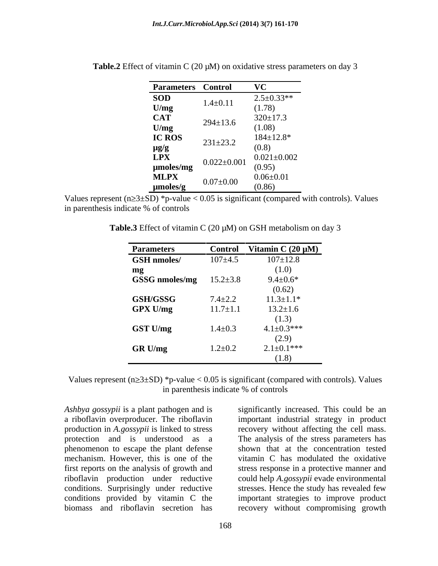| <b>Parameters</b> Control |                   | <b>VC</b>         |
|---------------------------|-------------------|-------------------|
| <b>SOD</b>                |                   | $2.5 \pm 0.33**$  |
| U/mg                      | $1.4 \pm 0.11$    | (1.78)            |
| CAT<br>U/mg               | $294 \pm 13.6$    | $320 \pm 17.3$    |
|                           |                   | (1.08)            |
| IC ROS                    | $231 \pm 23.2$    | $184 \pm 12.8*$   |
| $\mu g/g$                 |                   | (0.8)             |
| <b>LPX</b>                | $0.022 \pm 0.001$ | $0.021 \pm 0.002$ |
| µmoles/mg                 |                   | (0.95)            |
| <b>MLPX</b>               |                   | $0.06 \pm 0.01$   |
| $\mu$ moles/g             | $0.07 \pm 0.00$   | (0.86)            |

Table.2 Effect of vitamin C (20  $\mu$ M) on oxidative stress parameters on day 3

Values represent (n $\geq$ 3±SD) \*p-value < 0.05 is significant (compared with controls). Values in parenthesis indicate % of controls

**Table.3** Effect of vitamin C (20 µM) on GSH metabolism on day 3

| <b>Parameters</b>             | <b>Control</b> | Vitamin C $(20 \mu M)$ |
|-------------------------------|----------------|------------------------|
| <b>GSH</b> nmoles/            | $107 \pm 4.5$  | $107 \pm 12.8$         |
| mg                            |                | (1.0)                  |
| GSSG nmoles/mg $15.2 \pm 3.8$ |                | $9.4 \pm 0.6*$         |
|                               |                | (0.62)                 |
| GSH/GSSG                      | $7.4 \pm 2.2$  | $11.3 \pm 1.1*$        |
| GPX U/mg                      | $11.7 \pm 1.1$ | $13.2 \pm 1.6$         |
|                               |                | (1.3)                  |
| <b>GST U/mg</b>               | $1.4 \pm 0.3$  | $4.1 \pm 0.3$ ***      |
|                               |                | (2.9)                  |
| GR U/mg                       | $1.2 \pm 0.2$  | $2.1 \pm 0.1$ ***      |
|                               |                | (1.8)                  |

Values represent ( $n\geq 3\pm SD$ ) \*p-value < 0.05 is significant (compared with controls). Values in parenthesis indicate % of controls

phenomenon to escape the plant defense mechanism. However, this is one of the biomass and riboflavin secretion has recovery without compromising growth

*Ashbya gossypii* is a plant pathogen and is significantly increased. This could be an a riboflavin overproducer. The riboflavin important industrial strategy in product production in *A.gossypii* is linked to stress recovery without affecting the cell mass. protection and is understood as a The analysisof the stress parameters has first reports on the analysis of growth and stress response in a protective manner and riboflavin production under reductive could help *A.gossypii* evade environmental conditions. Surprisingly under reductive stresses. Hence the study has revealed few conditions provided by vitamin C the important strategies to improve product shown that at the concentration tested vitamin C has modulated the oxidative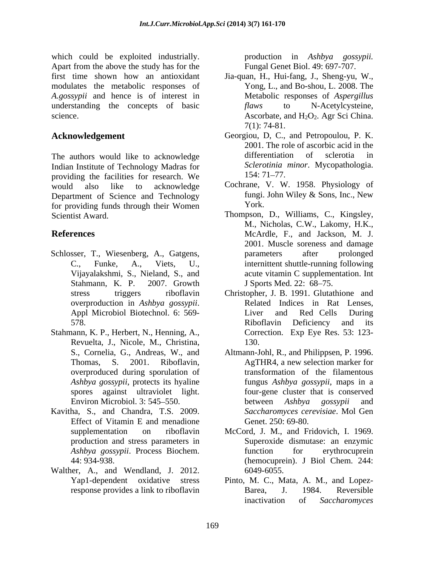which could be exploited industrially. production in *Ashbya gossypii.* Apart from the above the study has for the first time shown how an antioxidant Jia-quan, H., Hui-fang, J., Sheng-yu, W., modulates the metabolic responses of *A.gossypii* and hence is of interest in understanding the concepts of basic flaws to N-Acetylcysteine,

Indian Institute of Technology Madras for Sclerotinia<br>providing the facilities for recepch We 154: 71–77. providing the facilities for research. We would also like to acknowledge Cochrane, V. W. 1958. Physiology of Department of Science and Technology<br>for providing funds through their Women<br>York. York. for providing funds through their Women

- Schlosser, T., Wiesenberg, A., Gatgens,  $\alpha$  parameters after prolonged Stahmann, K. P. 2007. Growth J Sports Med. 22: 68–75.
- Stahmann, K. P., Herbert, N., Henning, A., Corre<br>Revuelta, J., Nicole, M., Christina, 130. overproduced during sporulation of spores against ultraviolet light.
- Kavitha, S., and Chandra, T.S. 2009. Effect of Vitamin E and menadione
- Walther, A., and Wendland, J. 2012.

Fungal Genet Biol. 49: 697-707.

- science.  $\triangle$  Ascorbate, and  $H_2O_2$ . Agr Sci China. Yong, L., and Bo-shou, L. 2008. The Metabolic responses of *Aspergillus flaws* to N-Acetylcysteine, 7(1): 74-81.
- **Acknowledgement** Georgiou, D, C., and Petropoulou, P. K. The authors would like to acknowledge differentiation of sclerotia in 2001. The role of ascorbic acid in the differentiation of sclerotia in *Sclerotinia minor*. Mycopathologia. 154: 71–77.
	- fungi. John Wiley & Sons, Inc., New York.
- Scientist Award. Thompson, D., Williams, C., Kingsley, **References** McArdle, F., and Jackson, M. J. C., Funke, A., Viets, U., internittent shuttle-running following Vijayalakshmi, S., Nieland, S., and acute vitamin C supplementation. Int M., Nicholas, C.W., Lakomy, H.K., 2001. Muscle soreness and damage parameters after prolonged J Sports Med. 22: 68–75.
	- stress triggers riboflavin Christopher, J. B. 1991. Glutathione and overproduction in *Ashbya gossypii*. <br>
	Appl Microbiol Biotechnol. 6: 569-<br>
	
	Liver and Red Cells During 578. Riboflavin Deficiency and its Related Indices in Rat Lenses, Liver and Red Cells During Correction. Exp Eye Res. 53: 123- 130.
	- S., Cornelia, G., Andreas, W., and Altmann-Johl, R., and Philippsen, P. 1996. Thomas, S. 2001. Riboflavin, *Ashbya gossypii*, protects its hyaline fungus *Ashbya gossypii*, maps in a Environ Microbiol. 3: 545–550. between Ashbya gossypii and AgTHR4, a new selection marker for transformation of the filamentous four-gene cluster that is conserved between *Ashbya gossypii* and *Saccharomyces cerevisiae*. Mol Gen Genet. 250: 69-80.
	- supplementation on riboflavin McCord, J. M., and Fridovich, I. 1969. production and stress parameters in Superoxide dismutase: an enzymic *Ashbya gossypii*. Process Biochem. 44: 934-938. (hemocuprein). J Biol Chem. 244: function for erythrocuprein 6049-6055.
	- Yap1-dependent oxidative stress Pinto, M. C., Mata, A. M., and Lopez response provides a link to riboflavin<br>Barea, J. 1984. Reversible Barea, J. 1984. Reversible inactivation of *Saccharomyces*